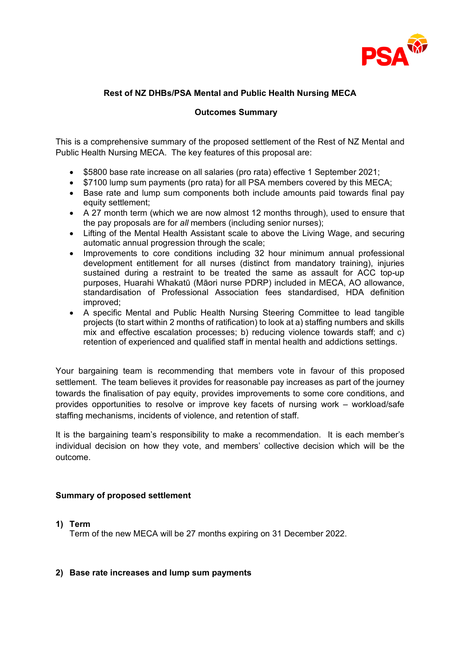

## **Rest of NZ DHBs/PSA Mental and Public Health Nursing MECA**

## **Outcomes Summary**

This is a comprehensive summary of the proposed settlement of the Rest of NZ Mental and Public Health Nursing MECA. The key features of this proposal are:

- \$5800 base rate increase on all salaries (pro rata) effective 1 September 2021;
- \$7100 lump sum payments (pro rata) for all PSA members covered by this MECA;
- Base rate and lump sum components both include amounts paid towards final pay equity settlement;
- A 27 month term (which we are now almost 12 months through), used to ensure that the pay proposals are for *all* members (including senior nurses);
- Lifting of the Mental Health Assistant scale to above the Living Wage, and securing automatic annual progression through the scale;
- Improvements to core conditions including 32 hour minimum annual professional development entitlement for all nurses (distinct from mandatory training), injuries sustained during a restraint to be treated the same as assault for ACC top-up purposes, Huarahi Whakatū (Māori nurse PDRP) included in MECA, AO allowance, standardisation of Professional Association fees standardised, HDA definition improved;
- A specific Mental and Public Health Nursing Steering Committee to lead tangible projects (to start within 2 months of ratification) to look at a) staffing numbers and skills mix and effective escalation processes; b) reducing violence towards staff; and c) retention of experienced and qualified staff in mental health and addictions settings.

Your bargaining team is recommending that members vote in favour of this proposed settlement. The team believes it provides for reasonable pay increases as part of the journey towards the finalisation of pay equity, provides improvements to some core conditions, and provides opportunities to resolve or improve key facets of nursing work – workload/safe staffing mechanisms, incidents of violence, and retention of staff.

It is the bargaining team's responsibility to make a recommendation. It is each member's individual decision on how they vote, and members' collective decision which will be the outcome.

## **Summary of proposed settlement**

## **1) Term**

Term of the new MECA will be 27 months expiring on 31 December 2022.

## **2) Base rate increases and lump sum payments**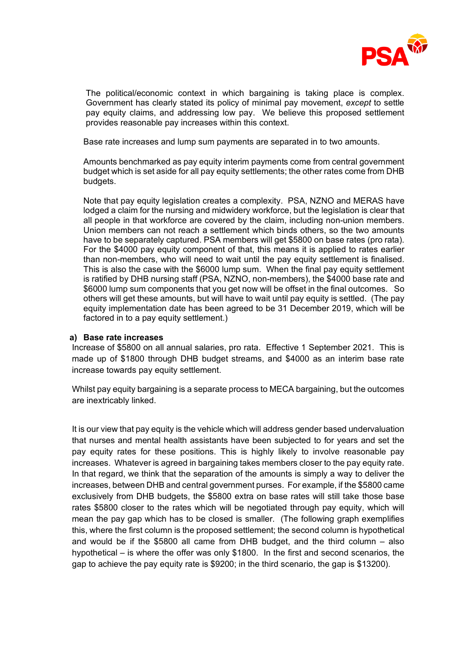

The political/economic context in which bargaining is taking place is complex. Government has clearly stated its policy of minimal pay movement, *except* to settle pay equity claims, and addressing low pay. We believe this proposed settlement provides reasonable pay increases within this context.

Base rate increases and lump sum payments are separated in to two amounts.

Amounts benchmarked as pay equity interim payments come from central government budget which is set aside for all pay equity settlements; the other rates come from DHB budgets.

Note that pay equity legislation creates a complexity. PSA, NZNO and MERAS have lodged a claim for the nursing and midwidery workforce, but the legislation is clear that all people in that workforce are covered by the claim, including non-union members. Union members can not reach a settlement which binds others, so the two amounts have to be separately captured. PSA members will get \$5800 on base rates (pro rata). For the \$4000 pay equity component of that, this means it is applied to rates earlier than non-members, who will need to wait until the pay equity settlement is finalised. This is also the case with the \$6000 lump sum. When the final pay equity settlement is ratified by DHB nursing staff (PSA, NZNO, non-members), the \$4000 base rate and \$6000 lump sum components that you get now will be offset in the final outcomes. So others will get these amounts, but will have to wait until pay equity is settled. (The pay equity implementation date has been agreed to be 31 December 2019, which will be factored in to a pay equity settlement.)

#### **a) Base rate increases**

Increase of \$5800 on all annual salaries, pro rata. Effective 1 September 2021. This is made up of \$1800 through DHB budget streams, and \$4000 as an interim base rate increase towards pay equity settlement.

Whilst pay equity bargaining is a separate process to MECA bargaining, but the outcomes are inextricably linked.

It is our view that pay equity is the vehicle which will address gender based undervaluation that nurses and mental health assistants have been subjected to for years and set the pay equity rates for these positions. This is highly likely to involve reasonable pay increases. Whatever is agreed in bargaining takes members closer to the pay equity rate. In that regard, we think that the separation of the amounts is simply a way to deliver the increases, between DHB and central government purses. For example, if the \$5800 came exclusively from DHB budgets, the \$5800 extra on base rates will still take those base rates \$5800 closer to the rates which will be negotiated through pay equity, which will mean the pay gap which has to be closed is smaller. (The following graph exemplifies this, where the first column is the proposed settlement; the second column is hypothetical and would be if the \$5800 all came from DHB budget, and the third column – also hypothetical – is where the offer was only \$1800. In the first and second scenarios, the gap to achieve the pay equity rate is \$9200; in the third scenario, the gap is \$13200).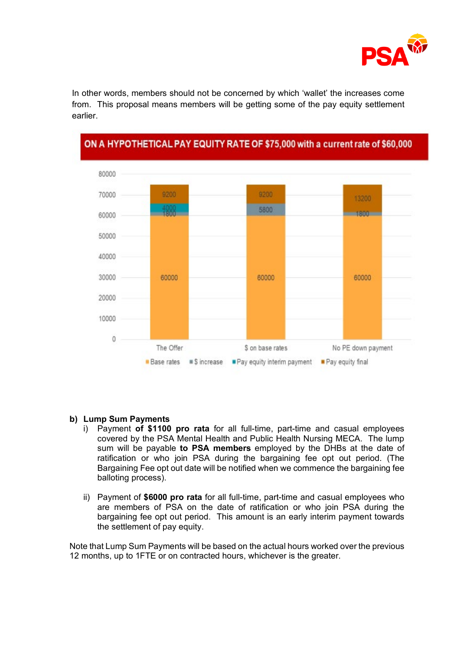

In other words, members should not be concerned by which 'wallet' the increases come from. This proposal means members will be getting some of the pay equity settlement earlier.



# ON A HYPOTHETICAL PAY EQUITY RATE OF \$75,000 with a current rate of \$60,000

## **b) Lump Sum Payments**

- i) Payment **of \$1100 pro rata** for all full-time, part-time and casual employees covered by the PSA Mental Health and Public Health Nursing MECA. The lump sum will be payable **to PSA members** employed by the DHBs at the date of ratification or who join PSA during the bargaining fee opt out period. (The Bargaining Fee opt out date will be notified when we commence the bargaining fee balloting process).
- ii) Payment of **\$6000 pro rata** for all full-time, part-time and casual employees who are members of PSA on the date of ratification or who join PSA during the bargaining fee opt out period. This amount is an early interim payment towards the settlement of pay equity.

Note that Lump Sum Payments will be based on the actual hours worked over the previous 12 months, up to 1FTE or on contracted hours, whichever is the greater.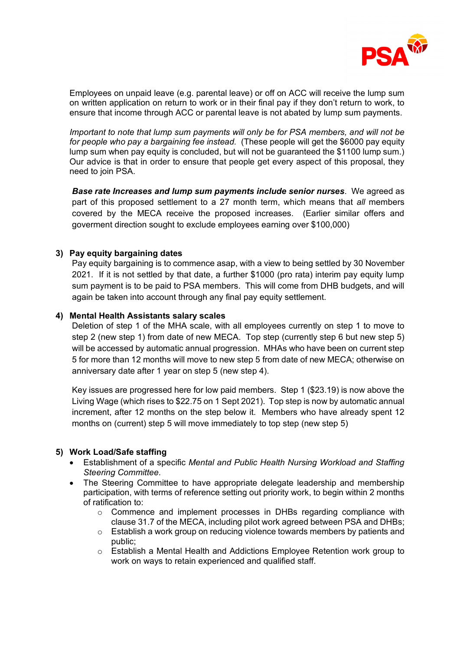

Employees on unpaid leave (e.g. parental leave) or off on ACC will receive the lump sum on written application on return to work or in their final pay if they don't return to work, to ensure that income through ACC or parental leave is not abated by lump sum payments.

*Important to note that lump sum payments will only be for PSA members, and will not be for people who pay a bargaining fee instead.* (These people will get the \$6000 pay equity lump sum when pay equity is concluded, but will not be guaranteed the \$1100 lump sum.) Our advice is that in order to ensure that people get every aspect of this proposal, they need to join PSA.

*Base rate Increases and lump sum payments include senior nurses*. We agreed as part of this proposed settlement to a 27 month term, which means that *all* members covered by the MECA receive the proposed increases. (Earlier similar offers and goverment direction sought to exclude employees earning over \$100,000)

## **3) Pay equity bargaining dates**

Pay equity bargaining is to commence asap, with a view to being settled by 30 November 2021. If it is not settled by that date, a further \$1000 (pro rata) interim pay equity lump sum payment is to be paid to PSA members. This will come from DHB budgets, and will again be taken into account through any final pay equity settlement.

#### **4) Mental Health Assistants salary scales**

Deletion of step 1 of the MHA scale, with all employees currently on step 1 to move to step 2 (new step 1) from date of new MECA. Top step (currently step 6 but new step 5) will be accessed by automatic annual progression.MHAs who have been on current step 5 for more than 12 months will move to new step 5 from date of new MECA; otherwise on anniversary date after 1 year on step 5 (new step 4).

Key issues are progressed here for low paid members. Step 1 (\$23.19) is now above the Living Wage (which rises to \$22.75 on 1 Sept 2021). Top step is now by automatic annual increment, after 12 months on the step below it. Members who have already spent 12 months on (current) step 5 will move immediately to top step (new step 5)

#### **5) Work Load/Safe staffing**

- Establishment of a specific *Mental and Public Health Nursing Workload and Staffing Steering Committee.*
- The Steering Committee to have appropriate delegate leadership and membership participation, with terms of reference setting out priority work, to begin within 2 months of ratification to:
	- $\circ$  Commence and implement processes in DHBs regarding compliance with clause 31.7 of the MECA, including pilot work agreed between PSA and DHBs;
	- $\circ$  Establish a work group on reducing violence towards members by patients and public;
	- $\circ$  Establish a Mental Health and Addictions Employee Retention work group to work on ways to retain experienced and qualified staff.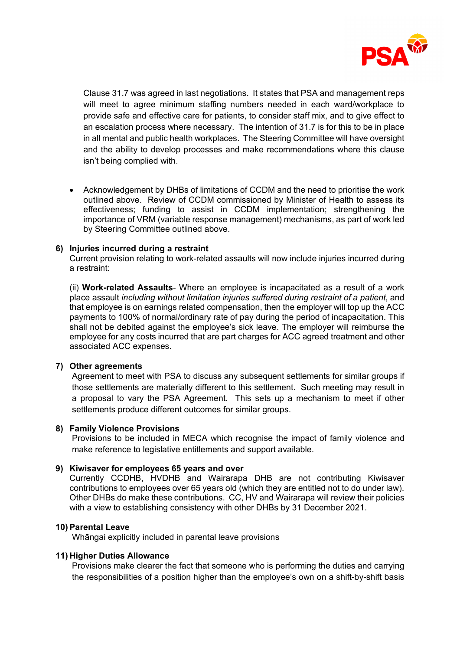

Clause 31.7 was agreed in last negotiations. It states that PSA and management reps will meet to agree minimum staffing numbers needed in each ward/workplace to provide safe and effective care for patients, to consider staff mix, and to give effect to an escalation process where necessary. The intention of 31.7 is for this to be in place in all mental and public health workplaces. The Steering Committee will have oversight and the ability to develop processes and make recommendations where this clause isn't being complied with.

• Acknowledgement by DHBs of limitations of CCDM and the need to prioritise the work outlined above. Review of CCDM commissioned by Minister of Health to assess its effectiveness; funding to assist in CCDM implementation; strengthening the importance of VRM (variable response management) mechanisms, as part of work led by Steering Committee outlined above.

#### **6) Injuries incurred during a restraint**

Current provision relating to work-related assaults will now include injuries incurred during a restraint:

(ii) **Work-related Assaults**- Where an employee is incapacitated as a result of a work place assault *including without limitation injuries suffered during restraint of a patient*, and that employee is on earnings related compensation, then the employer will top up the ACC payments to 100% of normal/ordinary rate of pay during the period of incapacitation. This shall not be debited against the employee's sick leave. The employer will reimburse the employee for any costs incurred that are part charges for ACC agreed treatment and other associated ACC expenses.

#### **7) Other agreements**

Agreement to meet with PSA to discuss any subsequent settlements for similar groups if those settlements are materially different to this settlement. Such meeting may result in a proposal to vary the PSA Agreement. This sets up a mechanism to meet if other settlements produce different outcomes for similar groups.

#### **8) Family Violence Provisions**

Provisions to be included in MECA which recognise the impact of family violence and make reference to legislative entitlements and support available.

#### **9) Kiwisaver for employees 65 years and over**

Currently CCDHB, HVDHB and Wairarapa DHB are not contributing Kiwisaver contributions to employees over 65 years old (which they are entitled not to do under law). Other DHBs do make these contributions. CC, HV and Wairarapa will review their policies with a view to establishing consistency with other DHBs by 31 December 2021.

#### **10) Parental Leave**

Whāngai explicitly included in parental leave provisions

#### **11) Higher Duties Allowance**

Provisions make clearer the fact that someone who is performing the duties and carrying the responsibilities of a position higher than the employee's own on a shift-by-shift basis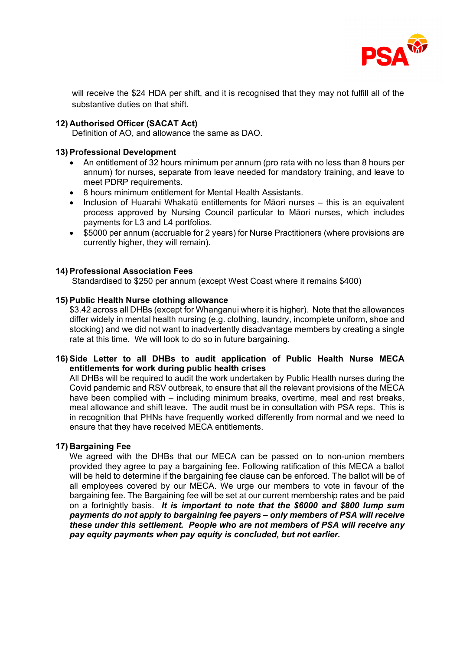

will receive the \$24 HDA per shift, and it is recognised that they may not fulfill all of the substantive duties on that shift.

## **12) Authorised Officer (SACAT Act)**

Definition of AO, and allowance the same as DAO.

## **13) Professional Development**

- An entitlement of 32 hours minimum per annum (pro rata with no less than 8 hours per annum) for nurses, separate from leave needed for mandatory training, and leave to meet PDRP requirements.
- 8 hours minimum entitlement for Mental Health Assistants.
- Inclusion of Huarahi Whakatū entitlements for Māori nurses this is an equivalent process approved by Nursing Council particular to Māori nurses, which includes payments for L3 and L4 portfolios.
- \$5000 per annum (accruable for 2 years) for Nurse Practitioners (where provisions are currently higher, they will remain).

## **14) Professional Association Fees**

Standardised to \$250 per annum (except West Coast where it remains \$400)

## **15) Public Health Nurse clothing allowance**

\$3.42 across all DHBs (except for Whanganui where it is higher). Note that the allowances differ widely in mental health nursing (e.g. clothing, laundry, incomplete uniform, shoe and stocking) and we did not want to inadvertently disadvantage members by creating a single rate at this time. We will look to do so in future bargaining.

## **16) Side Letter to all DHBs to audit application of Public Health Nurse MECA entitlements for work during public health crises**

All DHBs will be required to audit the work undertaken by Public Health nurses during the Covid pandemic and RSV outbreak, to ensure that all the relevant provisions of the MECA have been complied with – including minimum breaks, overtime, meal and rest breaks, meal allowance and shift leave. The audit must be in consultation with PSA reps. This is in recognition that PHNs have frequently worked differently from normal and we need to ensure that they have received MECA entitlements.

#### **17) Bargaining Fee**

We agreed with the DHBs that our MECA can be passed on to non-union members provided they agree to pay a bargaining fee. Following ratification of this MECA a ballot will be held to determine if the bargaining fee clause can be enforced. The ballot will be of all employees covered by our MECA. We urge our members to vote in favour of the bargaining fee. The Bargaining fee will be set at our current membership rates and be paid on a fortnightly basis. *It is important to note that the \$6000 and \$800 lump sum payments do not apply to bargaining fee payers – only members of PSA will receive these under this settlement. People who are not members of PSA will receive any pay equity payments when pay equity is concluded, but not earlier.*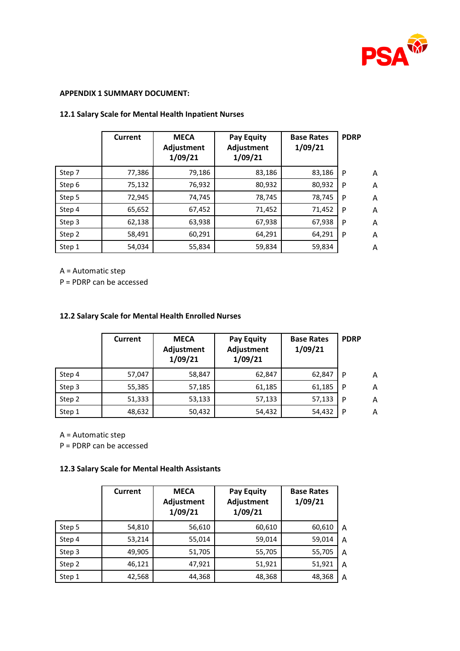

#### **APPENDIX 1 SUMMARY DOCUMENT:**

|        | Current | <b>MECA</b><br>Adjustment<br>1/09/21 | Pay Equity<br>Adjustment<br>1/09/21 | <b>Base Rates</b><br>1/09/21 | <b>PDRP</b> |                |
|--------|---------|--------------------------------------|-------------------------------------|------------------------------|-------------|----------------|
| Step 7 | 77,386  | 79,186                               | 83,186                              | 83,186                       | P           | $\overline{A}$ |
| Step 6 | 75,132  | 76,932                               | 80,932                              | 80,932                       | P           | A              |
| Step 5 | 72,945  | 74,745                               | 78,745                              | 78,745                       | P           | A              |
| Step 4 | 65,652  | 67,452                               | 71,452                              | 71,452                       | P           | A              |
| Step 3 | 62,138  | 63,938                               | 67,938                              | 67,938                       | P           | A              |
| Step 2 | 58,491  | 60,291                               | 64,291                              | 64,291                       | P           | A              |
| Step 1 | 54,034  | 55,834                               | 59,834                              | 59,834                       |             | A              |

## **12.1 Salary Scale for Mental Health Inpatient Nurses**

A = Automatic step

P = PDRP can be accessed

#### **12.2 Salary Scale for Mental Health Enrolled Nurses**

|        | Current | <b>MECA</b><br>Adjustment<br>1/09/21 | <b>Pay Equity</b><br>Adjustment<br>1/09/21 | <b>Base Rates</b><br>1/09/21 | <b>PDRP</b> |   |
|--------|---------|--------------------------------------|--------------------------------------------|------------------------------|-------------|---|
| Step 4 | 57,047  | 58,847                               | 62,847                                     | 62,847                       | P           | Α |
| Step 3 | 55,385  | 57,185                               | 61,185                                     | 61,185                       | P           | A |
| Step 2 | 51,333  | 53,133                               | 57,133                                     | 57,133                       | P           | A |
| Step 1 | 48,632  | 50,432                               | 54,432                                     | 54,432                       | P           | Α |

A = Automatic step

P = PDRP can be accessed

## **12.3 Salary Scale for Mental Health Assistants**

|        | Current | <b>MECA</b><br>Adjustment<br>1/09/21 | <b>Pay Equity</b><br><b>Adjustment</b><br>1/09/21 | <b>Base Rates</b><br>1/09/21 |   |
|--------|---------|--------------------------------------|---------------------------------------------------|------------------------------|---|
| Step 5 | 54,810  | 56,610                               | 60,610                                            | 60,610                       | A |
| Step 4 | 53,214  | 55,014                               | 59,014                                            | 59,014                       | A |
| Step 3 | 49,905  | 51,705                               | 55,705                                            | 55,705                       | A |
| Step 2 | 46,121  | 47,921                               | 51,921                                            | 51,921                       | A |
| Step 1 | 42,568  | 44,368                               | 48,368                                            | 48,368                       | A |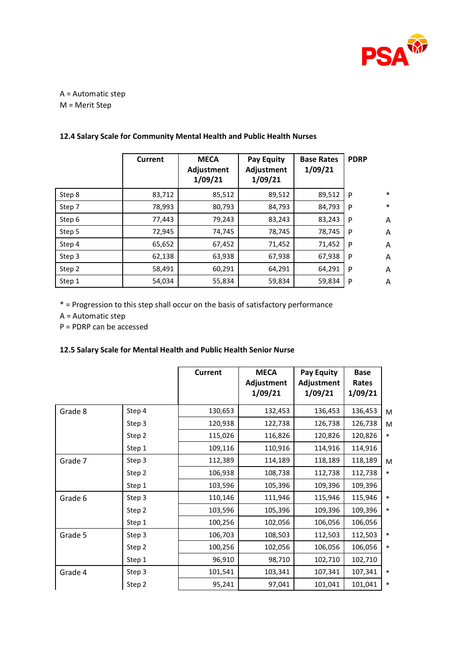

A = Automatic step M = Merit Step

|        | Current | <b>MECA</b><br>Adjustment<br>1/09/21 | Pay Equity<br>Adjustment<br>1/09/21 | <b>Base Rates</b><br>1/09/21 | <b>PDRP</b> |        |
|--------|---------|--------------------------------------|-------------------------------------|------------------------------|-------------|--------|
| Step 8 | 83,712  | 85,512                               | 89,512                              | 89,512                       | <b>P</b>    | $\ast$ |
| Step 7 | 78,993  | 80,793                               | 84,793                              | 84,793                       | P           | $\ast$ |
| Step 6 | 77,443  | 79,243                               | 83,243                              | 83,243                       | P           | Α      |
| Step 5 | 72,945  | 74,745                               | 78,745                              | 78,745                       | P           | A      |
| Step 4 | 65,652  | 67,452                               | 71,452                              | 71,452                       | P           | A      |
| Step 3 | 62,138  | 63,938                               | 67,938                              | 67,938                       | P           | A      |
| Step 2 | 58,491  | 60,291                               | 64,291                              | 64,291                       | P           | A      |
| Step 1 | 54,034  | 55,834                               | 59,834                              | 59,834                       | P           | Α      |

# **12.4 Salary Scale for Community Mental Health and Public Health Nurses**

\* = Progression to this step shall occur on the basis of satisfactory performance

A = Automatic step

P = PDRP can be accessed

# **12.5 Salary Scale for Mental Health and Public Health Senior Nurse**

|         |        | Current | <b>MECA</b><br>Adjustment<br>1/09/21 | <b>Pay Equity</b><br>Adjustment<br>1/09/21 | <b>Base</b><br>Rates<br>1/09/21 |        |
|---------|--------|---------|--------------------------------------|--------------------------------------------|---------------------------------|--------|
| Grade 8 | Step 4 | 130,653 | 132,453                              | 136,453                                    | 136,453                         | M      |
|         | Step 3 | 120,938 | 122,738                              | 126,738                                    | 126,738                         | M      |
|         | Step 2 | 115,026 | 116,826                              | 120,826                                    | 120,826                         | $\ast$ |
|         | Step 1 | 109,116 | 110,916                              | 114,916                                    | 114,916                         |        |
| Grade 7 | Step 3 | 112,389 | 114,189                              | 118,189                                    | 118,189                         | M      |
|         | Step 2 | 106,938 | 108,738                              | 112,738                                    | 112,738                         | $\ast$ |
|         | Step 1 | 103,596 | 105,396                              | 109,396                                    | 109,396                         |        |
| Grade 6 | Step 3 | 110,146 | 111,946                              | 115,946                                    | 115,946                         | $\ast$ |
|         | Step 2 | 103,596 | 105,396                              | 109,396                                    | 109,396                         | $\ast$ |
|         | Step 1 | 100,256 | 102,056                              | 106,056                                    | 106,056                         |        |
| Grade 5 | Step 3 | 106,703 | 108,503                              | 112,503                                    | 112,503                         | $\ast$ |
|         | Step 2 | 100,256 | 102,056                              | 106,056                                    | 106,056                         | $\ast$ |
|         | Step 1 | 96,910  | 98,710                               | 102,710                                    | 102,710                         |        |
| Grade 4 | Step 3 | 101,541 | 103,341                              | 107,341                                    | 107,341                         | $\ast$ |
|         | Step 2 | 95,241  | 97,041                               | 101,041                                    | 101,041                         | $\ast$ |